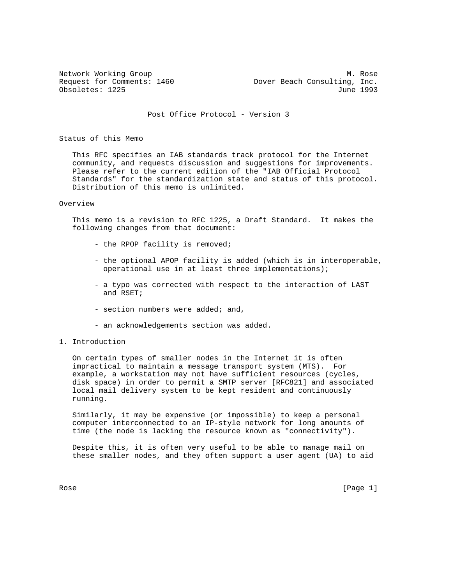Network Working Group Manuscript Communications and Manuscript Manuscript Manuscript Manuscript Manuscript Manuscript Manuscript Manuscript Manuscript Manuscript Manuscript Manuscript Manuscript Manuscript Manuscript Manus Request for Comments: 1460 Dover Beach Consulting, Inc. Obsoletes: 1225 June 1993

Post Office Protocol - Version 3

Status of this Memo

 This RFC specifies an IAB standards track protocol for the Internet community, and requests discussion and suggestions for improvements. Please refer to the current edition of the "IAB Official Protocol Standards" for the standardization state and status of this protocol. Distribution of this memo is unlimited.

#### Overview

 This memo is a revision to RFC 1225, a Draft Standard. It makes the following changes from that document:

- the RPOP facility is removed;
- the optional APOP facility is added (which is in interoperable, operational use in at least three implementations);
- a typo was corrected with respect to the interaction of LAST and RSET;
- section numbers were added; and,
- an acknowledgements section was added.
- 1. Introduction

 On certain types of smaller nodes in the Internet it is often impractical to maintain a message transport system (MTS). For example, a workstation may not have sufficient resources (cycles, disk space) in order to permit a SMTP server [RFC821] and associated local mail delivery system to be kept resident and continuously running.

 Similarly, it may be expensive (or impossible) to keep a personal computer interconnected to an IP-style network for long amounts of time (the node is lacking the resource known as "connectivity").

 Despite this, it is often very useful to be able to manage mail on these smaller nodes, and they often support a user agent (UA) to aid

Rose [Page 1]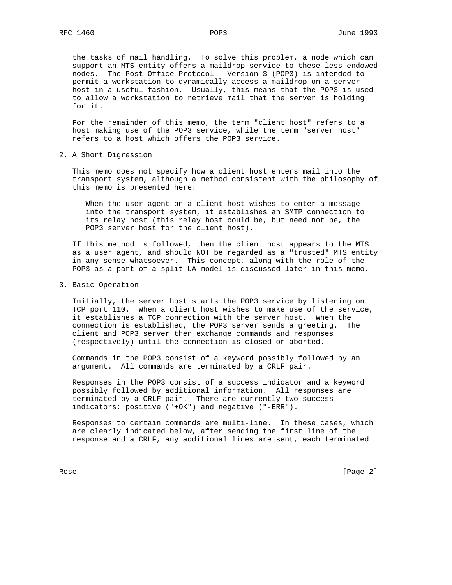the tasks of mail handling. To solve this problem, a node which can support an MTS entity offers a maildrop service to these less endowed nodes. The Post Office Protocol - Version 3 (POP3) is intended to permit a workstation to dynamically access a maildrop on a server host in a useful fashion. Usually, this means that the POP3 is used to allow a workstation to retrieve mail that the server is holding for it.

 For the remainder of this memo, the term "client host" refers to a host making use of the POP3 service, while the term "server host" refers to a host which offers the POP3 service.

2. A Short Digression

 This memo does not specify how a client host enters mail into the transport system, although a method consistent with the philosophy of this memo is presented here:

 When the user agent on a client host wishes to enter a message into the transport system, it establishes an SMTP connection to its relay host (this relay host could be, but need not be, the POP3 server host for the client host).

 If this method is followed, then the client host appears to the MTS as a user agent, and should NOT be regarded as a "trusted" MTS entity in any sense whatsoever. This concept, along with the role of the POP3 as a part of a split-UA model is discussed later in this memo.

3. Basic Operation

 Initially, the server host starts the POP3 service by listening on TCP port 110. When a client host wishes to make use of the service, it establishes a TCP connection with the server host. When the connection is established, the POP3 server sends a greeting. The client and POP3 server then exchange commands and responses (respectively) until the connection is closed or aborted.

 Commands in the POP3 consist of a keyword possibly followed by an argument. All commands are terminated by a CRLF pair.

 Responses in the POP3 consist of a success indicator and a keyword possibly followed by additional information. All responses are terminated by a CRLF pair. There are currently two success indicators: positive ("+OK") and negative ("-ERR").

 Responses to certain commands are multi-line. In these cases, which are clearly indicated below, after sending the first line of the response and a CRLF, any additional lines are sent, each terminated

Rose [Page 2]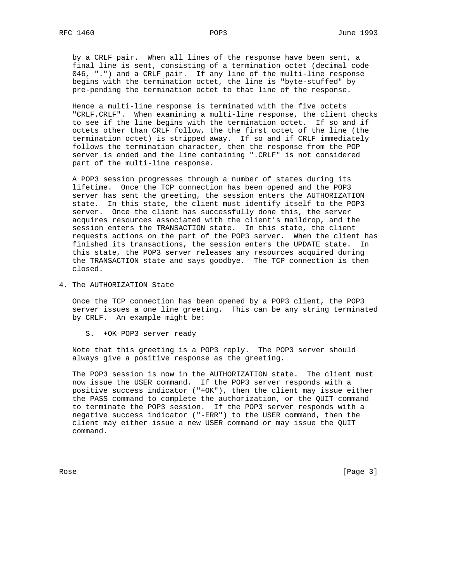by a CRLF pair. When all lines of the response have been sent, a final line is sent, consisting of a termination octet (decimal code 046, ".") and a CRLF pair. If any line of the multi-line response begins with the termination octet, the line is "byte-stuffed" by pre-pending the termination octet to that line of the response.

 Hence a multi-line response is terminated with the five octets "CRLF.CRLF". When examining a multi-line response, the client checks to see if the line begins with the termination octet. If so and if octets other than CRLF follow, the the first octet of the line (the termination octet) is stripped away. If so and if CRLF immediately follows the termination character, then the response from the POP server is ended and the line containing ".CRLF" is not considered part of the multi-line response.

 A POP3 session progresses through a number of states during its lifetime. Once the TCP connection has been opened and the POP3 server has sent the greeting, the session enters the AUTHORIZATION state. In this state, the client must identify itself to the POP3 server. Once the client has successfully done this, the server acquires resources associated with the client's maildrop, and the session enters the TRANSACTION state. In this state, the client requests actions on the part of the POP3 server. When the client has finished its transactions, the session enters the UPDATE state. In this state, the POP3 server releases any resources acquired during the TRANSACTION state and says goodbye. The TCP connection is then closed.

4. The AUTHORIZATION State

 Once the TCP connection has been opened by a POP3 client, the POP3 server issues a one line greeting. This can be any string terminated by CRLF. An example might be:

S. +OK POP3 server ready

 Note that this greeting is a POP3 reply. The POP3 server should always give a positive response as the greeting.

 The POP3 session is now in the AUTHORIZATION state. The client must now issue the USER command. If the POP3 server responds with a positive success indicator ("+OK"), then the client may issue either the PASS command to complete the authorization, or the QUIT command to terminate the POP3 session. If the POP3 server responds with a negative success indicator ("-ERR") to the USER command, then the client may either issue a new USER command or may issue the QUIT command.

Rose [Page 3]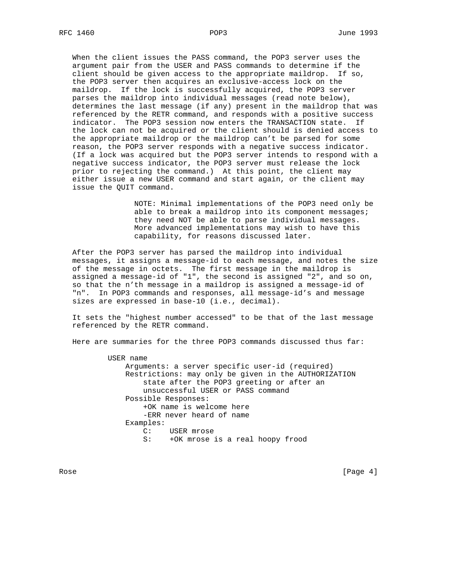When the client issues the PASS command, the POP3 server uses the argument pair from the USER and PASS commands to determine if the client should be given access to the appropriate maildrop. If so, the POP3 server then acquires an exclusive-access lock on the maildrop. If the lock is successfully acquired, the POP3 server parses the maildrop into individual messages (read note below), determines the last message (if any) present in the maildrop that was referenced by the RETR command, and responds with a positive success indicator. The POP3 session now enters the TRANSACTION state. If the lock can not be acquired or the client should is denied access to the appropriate maildrop or the maildrop can't be parsed for some reason, the POP3 server responds with a negative success indicator. (If a lock was acquired but the POP3 server intends to respond with a negative success indicator, the POP3 server must release the lock prior to rejecting the command.) At this point, the client may either issue a new USER command and start again, or the client may issue the QUIT command.

> NOTE: Minimal implementations of the POP3 need only be able to break a maildrop into its component messages; they need NOT be able to parse individual messages. More advanced implementations may wish to have this capability, for reasons discussed later.

 After the POP3 server has parsed the maildrop into individual messages, it assigns a message-id to each message, and notes the size of the message in octets. The first message in the maildrop is assigned a message-id of "1", the second is assigned "2", and so on, so that the n'th message in a maildrop is assigned a message-id of "n". In POP3 commands and responses, all message-id's and message sizes are expressed in base-10 (i.e., decimal).

 It sets the "highest number accessed" to be that of the last message referenced by the RETR command.

Here are summaries for the three POP3 commands discussed thus far:

 USER name Arguments: a server specific user-id (required) Restrictions: may only be given in the AUTHORIZATION state after the POP3 greeting or after an unsuccessful USER or PASS command Possible Responses: +OK name is welcome here -ERR never heard of name Examples: C: USER mrose S: +OK mrose is a real hoopy frood

Rose [Page 4] [Page 4] [Page 4] [Page 4] [Page 4] [Page 4] [Page 4] [Page 4] [Page 4] [Page 4] [Page 4] [Page 4] [Page 4] [Page 4] [Page 4] [Page 4] [Page 4] [Page 4] [Page 4] [Page 4] [Page 4] [Page 4] [Page 4] [Page 4] [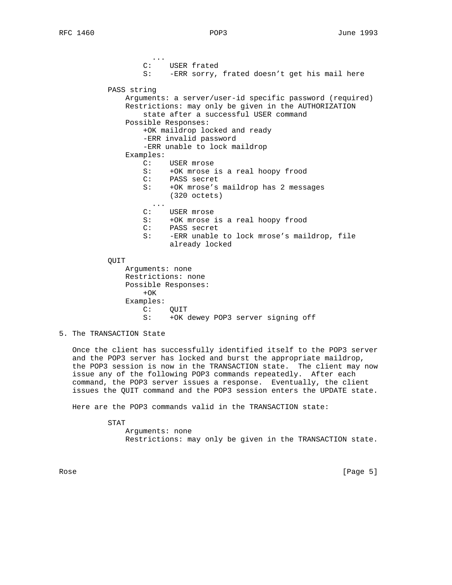... C: USER frated S: -ERR sorry, frated doesn't get his mail here PASS string Arguments: a server/user-id specific password (required) Restrictions: may only be given in the AUTHORIZATION state after a successful USER command Possible Responses: +OK maildrop locked and ready -ERR invalid password -ERR unable to lock maildrop Examples: C: USER mrose S: +OK mrose is a real hoopy frood C: PASS secret S: +OK mrose's maildrop has 2 messages (320 octets) ... C: USER mrose S: +OK mrose is a real hoopy frood C: PASS secret S: -ERR unable to lock mrose's maildrop, file already locked QUIT Arguments: none Restrictions: none Possible Responses:  $+OK$  Examples: C: QUIT

S: +OK dewey POP3 server signing off

5. The TRANSACTION State

 Once the client has successfully identified itself to the POP3 server and the POP3 server has locked and burst the appropriate maildrop, the POP3 session is now in the TRANSACTION state. The client may now issue any of the following POP3 commands repeatedly. After each command, the POP3 server issues a response. Eventually, the client issues the QUIT command and the POP3 session enters the UPDATE state.

Here are the POP3 commands valid in the TRANSACTION state:

STAT

 Arguments: none Restrictions: may only be given in the TRANSACTION state.

Rose [Page 5]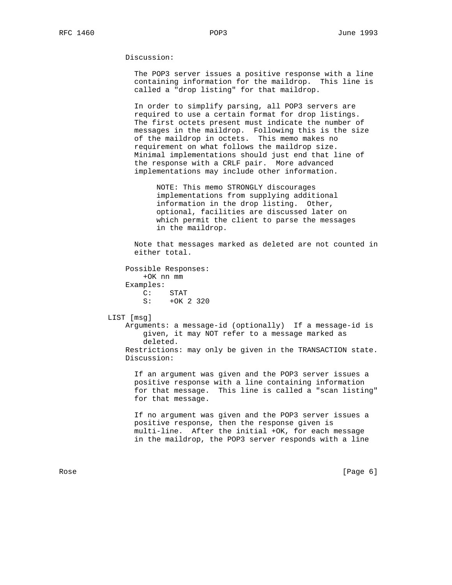Discussion:

 The POP3 server issues a positive response with a line containing information for the maildrop. This line is called a "drop listing" for that maildrop.

 In order to simplify parsing, all POP3 servers are required to use a certain format for drop listings. The first octets present must indicate the number of messages in the maildrop. Following this is the size of the maildrop in octets. This memo makes no requirement on what follows the maildrop size. Minimal implementations should just end that line of the response with a CRLF pair. More advanced implementations may include other information.

 NOTE: This memo STRONGLY discourages implementations from supplying additional information in the drop listing. Other, optional, facilities are discussed later on which permit the client to parse the messages in the maildrop.

 Note that messages marked as deleted are not counted in either total.

 Possible Responses: +OK nn mm Examples:  $C:$  STAT<br>S:  $+OK$ +OK 2 320

LIST [msg]

 Arguments: a message-id (optionally) If a message-id is given, it may NOT refer to a message marked as deleted. Restrictions: may only be given in the TRANSACTION state.

Discussion:

 If an argument was given and the POP3 server issues a positive response with a line containing information for that message. This line is called a "scan listing" for that message.

 If no argument was given and the POP3 server issues a positive response, then the response given is multi-line. After the initial +OK, for each message in the maildrop, the POP3 server responds with a line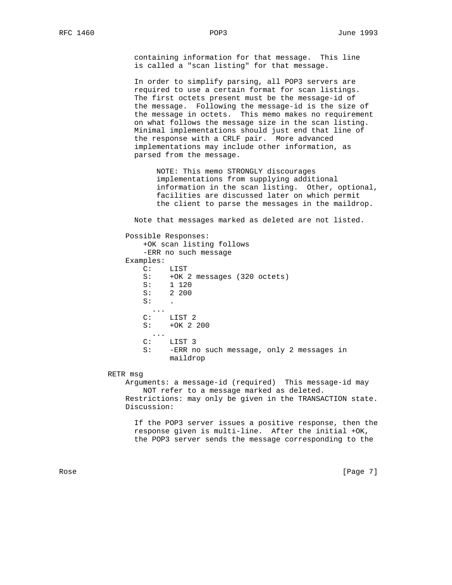containing information for that message. This line is called a "scan listing" for that message.

 In order to simplify parsing, all POP3 servers are required to use a certain format for scan listings. The first octets present must be the message-id of the message. Following the message-id is the size of the message in octets. This memo makes no requirement on what follows the message size in the scan listing. Minimal implementations should just end that line of the response with a CRLF pair. More advanced implementations may include other information, as parsed from the message.

 NOTE: This memo STRONGLY discourages implementations from supplying additional information in the scan listing. Other, optional, facilities are discussed later on which permit the client to parse the messages in the maildrop.

Note that messages marked as deleted are not listed.

 Possible Responses: +OK scan listing follows -ERR no such message Examples: C: LIST S: +OK 2 messages (320 octets) S: 1 120 S: 2 200  $S:$   $\qquad \qquad$  ... C: LIST 2 S: +OK 2 200 ... C: LIST 3 S: -ERR no such message, only 2 messages in maildrop

## RETR msg

 Arguments: a message-id (required) This message-id may NOT refer to a message marked as deleted. Restrictions: may only be given in the TRANSACTION state. Discussion:

 If the POP3 server issues a positive response, then the response given is multi-line. After the initial +OK, the POP3 server sends the message corresponding to the

Rose [Page 7]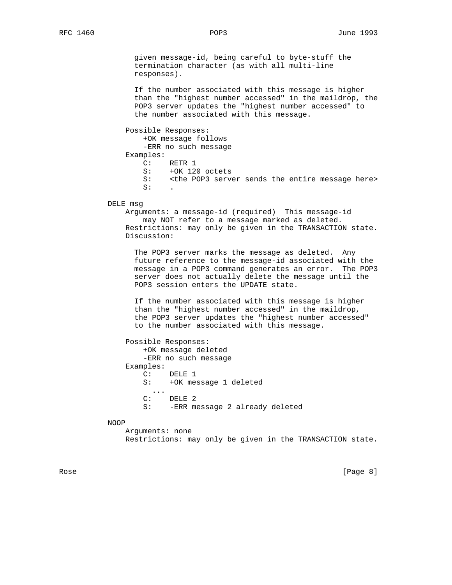given message-id, being careful to byte-stuff the termination character (as with all multi-line responses).

 If the number associated with this message is higher than the "highest number accessed" in the maildrop, the POP3 server updates the "highest number accessed" to the number associated with this message.

Possible Responses:

+OK message follows

-ERR no such message

Examples:

C: RETR 1

- S: +OK 120 octets<br>S: <the POP3 serve
- <the POP3 server sends the entire message here>  $S:$   $\qquad \qquad$

#### DELE msg

 Arguments: a message-id (required) This message-id may NOT refer to a message marked as deleted. Restrictions: may only be given in the TRANSACTION state. Discussion:

 The POP3 server marks the message as deleted. Any future reference to the message-id associated with the message in a POP3 command generates an error. The POP3 server does not actually delete the message until the POP3 session enters the UPDATE state.

 If the number associated with this message is higher than the "highest number accessed" in the maildrop, the POP3 server updates the "highest number accessed" to the number associated with this message.

| Possible Responses:                  |  |
|--------------------------------------|--|
| +OK message deleted                  |  |
| -ERR no such message                 |  |
| Examples:                            |  |
| $\mathcal{C}$ :<br>DELE 1            |  |
| +OK message 1 deleted<br>S:          |  |
| $\cdots$                             |  |
| DELE <sub>2</sub><br>$\cap$ :        |  |
| -ERR message 2 already deleted<br>S: |  |

#### NOOP

 Arguments: none Restrictions: may only be given in the TRANSACTION state.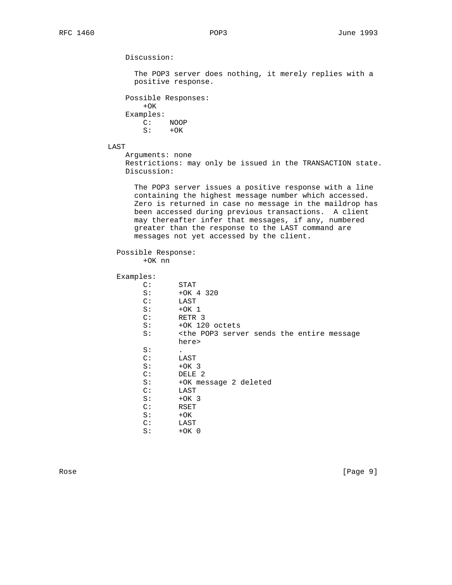Discussion:

 The POP3 server does nothing, it merely replies with a positive response.

 Possible Responses:  $+OK$  Examples: C: NOOP  $S: +OK$ 

LAST

 Arguments: none Restrictions: may only be issued in the TRANSACTION state. Discussion:

 The POP3 server issues a positive response with a line containing the highest message number which accessed. Zero is returned in case no message in the maildrop has been accessed during previous transactions. A client may thereafter infer that messages, if any, numbered greater than the response to the LAST command are messages not yet accessed by the client.

# Possible Response:

+OK nn

# Examples:

| C:             | STAT                                                                      |
|----------------|---------------------------------------------------------------------------|
| S:             | $+OK$ 4 320                                                               |
| C:             | LAST                                                                      |
| S:             | $+OK1$                                                                    |
| C:             | RETR <sub>3</sub>                                                         |
| S:             | +OK 120 octets                                                            |
| S:             | <the entire="" message<="" pop3="" sends="" server="" td="" the=""></the> |
|                | here>                                                                     |
| S:             |                                                                           |
| $\mathbb{C}$ : | LAST                                                                      |
| S:             | $+OK3$                                                                    |
| C:             | DELE <sub>2</sub>                                                         |
| S:             | +OK message 2 deleted                                                     |
| C:             | LAST                                                                      |
| S:             | $+OK3$                                                                    |
| $\mathbb{C}$ : | RSET                                                                      |
| S:             | $+OK$                                                                     |
| $\mathbb{C}$ : | LAST                                                                      |
| S:             | $+OK$ 0                                                                   |
|                |                                                                           |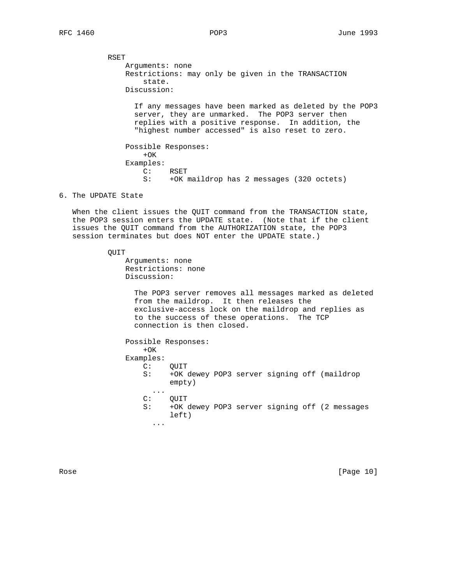RSET Arguments: none Restrictions: may only be given in the TRANSACTION state. Discussion: If any messages have been marked as deleted by the POP3 server, they are unmarked. The POP3 server then replies with a positive response. In addition, the "highest number accessed" is also reset to zero. Possible Responses:  $+OK$  Examples: C: RSET S: +OK maildrop has 2 messages (320 octets)

## 6. The UPDATE State

 When the client issues the QUIT command from the TRANSACTION state, the POP3 session enters the UPDATE state. (Note that if the client issues the QUIT command from the AUTHORIZATION state, the POP3 session terminates but does NOT enter the UPDATE state.)

#### QUIT

 Arguments: none Restrictions: none Discussion:

> The POP3 server removes all messages marked as deleted from the maildrop. It then releases the exclusive-access lock on the maildrop and replies as to the success of these operations. The TCP connection is then closed.

 Possible Responses:  $+OK$  Examples: C: QUIT S: +OK dewey POP3 server signing off (maildrop empty)  $\cdots$  c: QUIT S: +OK dewey POP3 server signing off (2 messages left) ...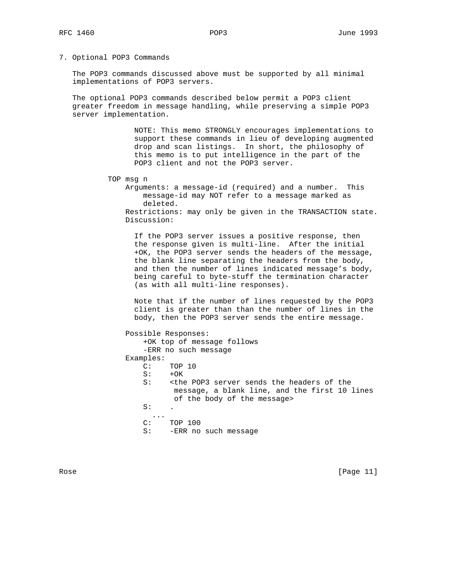#### 7. Optional POP3 Commands

 The POP3 commands discussed above must be supported by all minimal implementations of POP3 servers.

 The optional POP3 commands described below permit a POP3 client greater freedom in message handling, while preserving a simple POP3 server implementation.

> NOTE: This memo STRONGLY encourages implementations to support these commands in lieu of developing augmented drop and scan listings. In short, the philosophy of this memo is to put intelligence in the part of the POP3 client and not the POP3 server.

TOP msg n

 Arguments: a message-id (required) and a number. This message-id may NOT refer to a message marked as deleted. Restrictions: may only be given in the TRANSACTION state. Discussion:

 If the POP3 server issues a positive response, then the response given is multi-line. After the initial +OK, the POP3 server sends the headers of the message, the blank line separating the headers from the body, and then the number of lines indicated message's body, being careful to byte-stuff the termination character (as with all multi-line responses).

 Note that if the number of lines requested by the POP3 client is greater than than the number of lines in the body, then the POP3 server sends the entire message.

 Possible Responses: +OK top of message follows -ERR no such message Examples: C: TOP 10  $S: +OK$  S: <the POP3 server sends the headers of the message, a blank line, and the first 10 lines of the body of the message>  $S:$   $\qquad \qquad$  ... C: TOP 100 S: -ERR no such message

Rose [Page 11]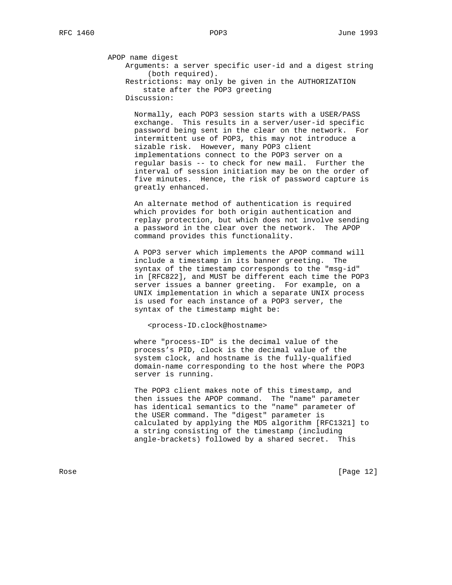APOP name digest

 Arguments: a server specific user-id and a digest string (both required).

 Restrictions: may only be given in the AUTHORIZATION state after the POP3 greeting Discussion:

 Normally, each POP3 session starts with a USER/PASS exchange. This results in a server/user-id specific password being sent in the clear on the network. For intermittent use of POP3, this may not introduce a sizable risk. However, many POP3 client implementations connect to the POP3 server on a regular basis -- to check for new mail. Further the interval of session initiation may be on the order of five minutes. Hence, the risk of password capture is greatly enhanced.

 An alternate method of authentication is required which provides for both origin authentication and replay protection, but which does not involve sending a password in the clear over the network. The APOP command provides this functionality.

 A POP3 server which implements the APOP command will include a timestamp in its banner greeting. The syntax of the timestamp corresponds to the "msg-id" in [RFC822], and MUST be different each time the POP3 server issues a banner greeting. For example, on a UNIX implementation in which a separate UNIX process is used for each instance of a POP3 server, the syntax of the timestamp might be:

<process-ID.clock@hostname>

 where "process-ID" is the decimal value of the process's PID, clock is the decimal value of the system clock, and hostname is the fully-qualified domain-name corresponding to the host where the POP3 server is running.

 The POP3 client makes note of this timestamp, and then issues the APOP command. The "name" parameter has identical semantics to the "name" parameter of the USER command. The "digest" parameter is calculated by applying the MD5 algorithm [RFC1321] to a string consisting of the timestamp (including angle-brackets) followed by a shared secret. This

Rose [Page 12]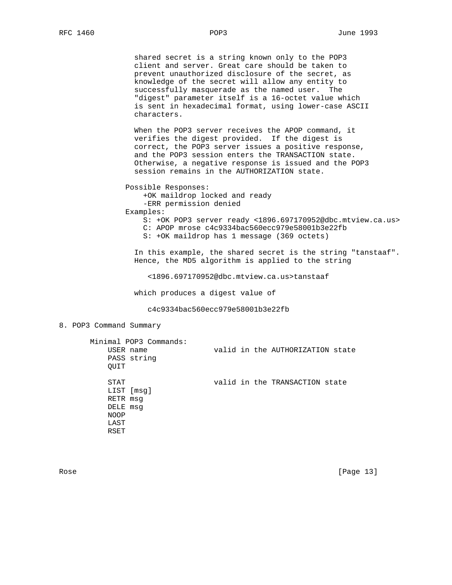shared secret is a string known only to the POP3 client and server. Great care should be taken to prevent unauthorized disclosure of the secret, as knowledge of the secret will allow any entity to successfully masquerade as the named user. The "digest" parameter itself is a 16-octet value which is sent in hexadecimal format, using lower-case ASCII characters.

 When the POP3 server receives the APOP command, it verifies the digest provided. If the digest is correct, the POP3 server issues a positive response, and the POP3 session enters the TRANSACTION state. Otherwise, a negative response is issued and the POP3 session remains in the AUTHORIZATION state.

Possible Responses:

 +OK maildrop locked and ready -ERR permission denied

Examples:

 S: +OK POP3 server ready <1896.697170952@dbc.mtview.ca.us> C: APOP mrose c4c9334bac560ecc979e58001b3e22fb

S: +OK maildrop has 1 message (369 octets)

 In this example, the shared secret is the string "tanstaaf". Hence, the MD5 algorithm is applied to the string

<1896.697170952@dbc.mtview.ca.us>tanstaaf

which produces a digest value of

c4c9334bac560ecc979e58001b3e22fb

### 8. POP3 Command Summary

| USER name<br>PASS string<br>OUIT                                          | Minimal POP3 Commands: |  | valid in the AUTHORIZATION state |  |
|---------------------------------------------------------------------------|------------------------|--|----------------------------------|--|
| STAT<br>LIST [msq]<br>RETR msq<br>DELE msq<br><b>NOOP</b><br>LAST<br>RSET |                        |  | valid in the TRANSACTION state   |  |

Rose [Page 13]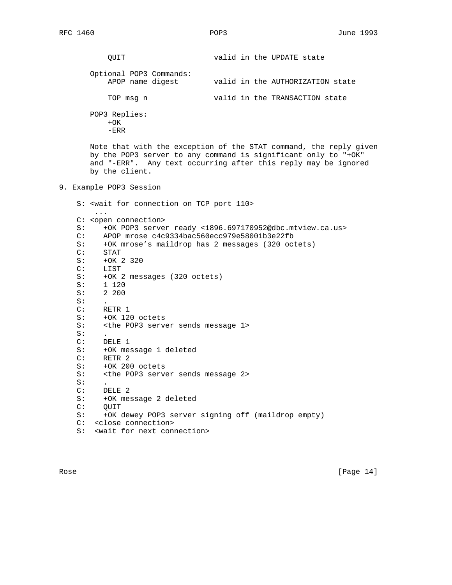QUIT valid in the UPDATE state Optional POP3 Commands: APOP name digest valid in the AUTHORIZATION state TOP msg n valid in the TRANSACTION state POP3 Replies:  $+OK$  -ERR Note that with the exception of the STAT command, the reply given by the POP3 server to any command is significant only to "+OK" and "-ERR". Any text occurring after this reply may be ignored by the client. 9. Example POP3 Session S: <wait for connection on TCP port 110> ... C: <open connection> S: +OK POP3 server ready <1896.697170952@dbc.mtview.ca.us> C: APOP mrose c4c9334bac560ecc979e58001b3e22fb S: +OK mrose's maildrop has 2 messages (320 octets) STAT S: +OK 2 320 C: LIST S: +OK 2 messages (320 octets) S: 1 120 S: 2 200  $S:$  C: RETR 1 S: +OK 120 octets S: <the POP3 server sends message 1>  $S:$  C: DELE 1 S: +OK message 1 deleted C: RETR 2 S: +OK 200 octets S: < < < < < < < POP3 server sends message 2>  $S:$  C: DELE 2 S: +OK message 2 deleted C: QUIT S: +OK dewey POP3 server signing off (maildrop empty) C: <close connection> S: <wait for next connection>

Rose [Page 14]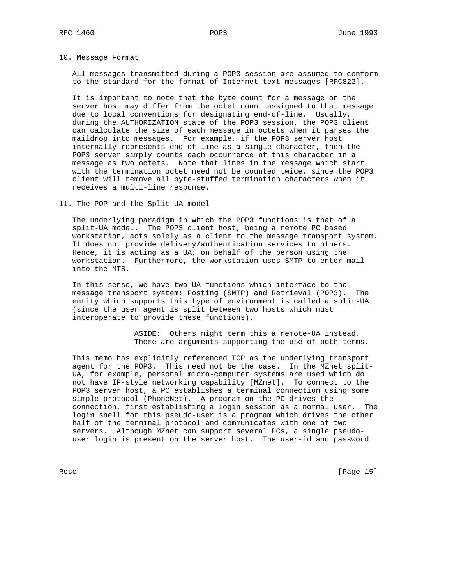10. Message Format

 All messages transmitted during a POP3 session are assumed to conform to the standard for the format of Internet text messages [RFC822].

 It is important to note that the byte count for a message on the server host may differ from the octet count assigned to that message due to local conventions for designating end-of-line. Usually, during the AUTHORIZATION state of the POP3 session, the POP3 client can calculate the size of each message in octets when it parses the maildrop into messages. For example, if the POP3 server host internally represents end-of-line as a single character, then the POP3 server simply counts each occurrence of this character in a message as two octets. Note that lines in the message which start with the termination octet need not be counted twice, since the POP3 client will remove all byte-stuffed termination characters when it receives a multi-line response.

11. The POP and the Split-UA model

 The underlying paradigm in which the POP3 functions is that of a split-UA model. The POP3 client host, being a remote PC based workstation, acts solely as a client to the message transport system. It does not provide delivery/authentication services to others. Hence, it is acting as a UA, on behalf of the person using the workstation. Furthermore, the workstation uses SMTP to enter mail into the MTS.

 In this sense, we have two UA functions which interface to the message transport system: Posting (SMTP) and Retrieval (POP3). The entity which supports this type of environment is called a split-UA (since the user agent is split between two hosts which must interoperate to provide these functions).

> ASIDE: Others might term this a remote-UA instead. There are arguments supporting the use of both terms.

 This memo has explicitly referenced TCP as the underlying transport agent for the POP3. This need not be the case. In the MZnet split- UA, for example, personal micro-computer systems are used which do not have IP-style networking capability [MZnet]. To connect to the POP3 server host, a PC establishes a terminal connection using some simple protocol (PhoneNet). A program on the PC drives the connection, first establishing a login session as a normal user. The login shell for this pseudo-user is a program which drives the other half of the terminal protocol and communicates with one of two servers. Although MZnet can support several PCs, a single pseudo user login is present on the server host. The user-id and password

Rose [Page 15]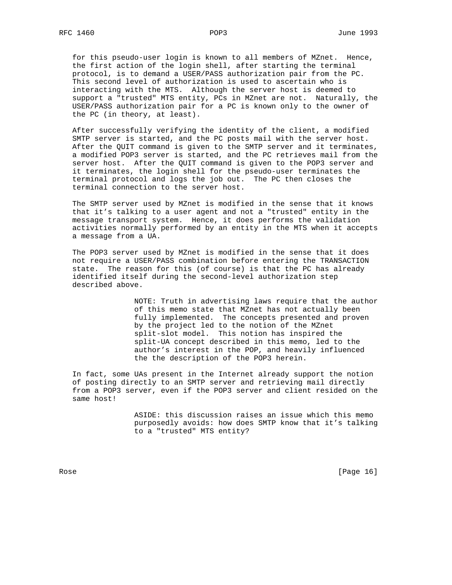for this pseudo-user login is known to all members of MZnet. Hence, the first action of the login shell, after starting the terminal protocol, is to demand a USER/PASS authorization pair from the PC. This second level of authorization is used to ascertain who is interacting with the MTS. Although the server host is deemed to support a "trusted" MTS entity, PCs in MZnet are not. Naturally, the USER/PASS authorization pair for a PC is known only to the owner of the PC (in theory, at least).

 After successfully verifying the identity of the client, a modified SMTP server is started, and the PC posts mail with the server host. After the QUIT command is given to the SMTP server and it terminates, a modified POP3 server is started, and the PC retrieves mail from the server host. After the QUIT command is given to the POP3 server and it terminates, the login shell for the pseudo-user terminates the terminal protocol and logs the job out. The PC then closes the terminal connection to the server host.

 The SMTP server used by MZnet is modified in the sense that it knows that it's talking to a user agent and not a "trusted" entity in the message transport system. Hence, it does performs the validation activities normally performed by an entity in the MTS when it accepts a message from a UA.

 The POP3 server used by MZnet is modified in the sense that it does not require a USER/PASS combination before entering the TRANSACTION state. The reason for this (of course) is that the PC has already identified itself during the second-level authorization step described above.

> NOTE: Truth in advertising laws require that the author of this memo state that MZnet has not actually been fully implemented. The concepts presented and proven by the project led to the notion of the MZnet split-slot model. This notion has inspired the split-UA concept described in this memo, led to the author's interest in the POP, and heavily influenced the the description of the POP3 herein.

 In fact, some UAs present in the Internet already support the notion of posting directly to an SMTP server and retrieving mail directly from a POP3 server, even if the POP3 server and client resided on the same host!

> ASIDE: this discussion raises an issue which this memo purposedly avoids: how does SMTP know that it's talking to a "trusted" MTS entity?

Rose [Page 16]